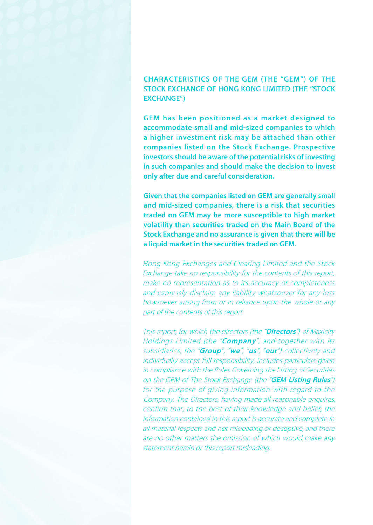**CHARACTERISTICS OF THE GEM (THE "GEM") OF THE STOCK EXCHANGE OF HONG KONG LIMITED (THE "STOCK FXCHANGE"**)

**GEM** has been positioned as a market designed to accommodate small and mid-sized companies to which a higher investment risk may be attached than other companies listed on the Stock Exchange. Prospective investors should be aware of the potential risks of investing in such companies and should make the decision to invest only after due and careful consideration.

**Given that the companies listed on GEM are generally small** and mid-sized companies, there is a risk that securities traded on GEM may be more susceptible to high market  **volatility than securities traded on the Main Board of the Stock Exchange and no assurance is given that there will be** a liquid market in the securities traded on **GEM**.

Hong Kong Exchanges and Clearing Limited and the Stock Exchange take no responsibility for the contents of this report, make no representation as to its accuracy or completeness and expressly disclaim any liability whatsoever for any loss howsoever arising from or in reliance upon the whole or any part of the contents of this report.

This report, for which the directors (the "Directors") of Maxicity Holdings Limited (the "**Company**", and together with its subsidiaries, the "**Group**", "we", "us", "our") collectively and individually accept full responsibility, includes particulars given in compliance with the Rules Governing the Listing of Securities on the GEM of The Stock Exchange (the "**GEM Listing Rules**") for the purpose of giving information with regard to the Company. The Directors, having made all reasonable enquires, confirm that, to the best of their knowledge and belief, the information contained in this report is accurate and complete in all material respects and not misleading or deceptive, and there are no other matters the omission of which would make any statement herein or this report misleading.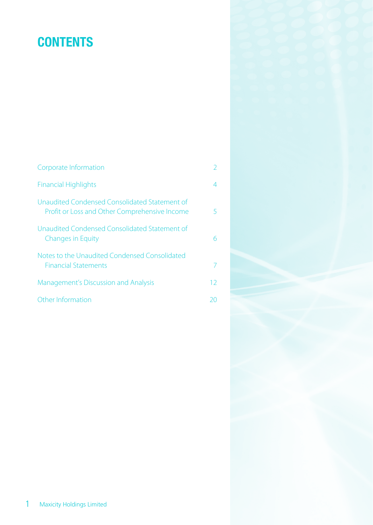# **CONTENTS**

| Corporate Information                                                                          |    |
|------------------------------------------------------------------------------------------------|----|
| <b>Financial Highlights</b>                                                                    | 4  |
| Unaudited Condensed Consolidated Statement of<br>Profit or Loss and Other Comprehensive Income |    |
| Unaudited Condensed Consolidated Statement of<br><b>Changes in Equity</b>                      | 6  |
| Notes to the Unaudited Condensed Consolidated<br><b>Financial Statements</b>                   |    |
| Management's Discussion and Analysis                                                           | 12 |
| Other Information                                                                              |    |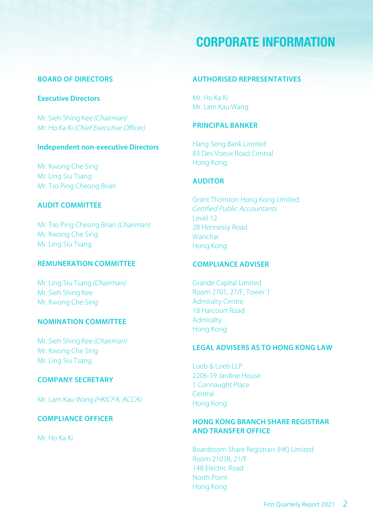### **CORPORATE INFORMATION**

#### **BOARD OF DIRECTORS**

#### **Executive Directors**

Mr. Sieh Shing Kee (Chairman) Mr. Ho Ka Ki (Chief Executive Officer)

#### **Independent non-executive Directors**

Mr. Kwong Che Sing Mr. Ling Siu Tsang Mr. Tso Ping Cheong Brian

#### **AUDIT COMMITTEE**

Mr. Tso Ping Cheong Brian (Chairman) Mr. Kwong Che Sing Mr. Ling Siu Tsang

#### **REMUNERATION COMMITTEE**

Mr. Ling Siu Tsang (Chairman) Mr. Sieh Shing Kee Mr. Kwong Che Sing

#### **NOMINATION COMMITTEE**

Mr. Sieh Shing Kee (Chairman) Mr. Kwong Che Sing Mr. Ling Siu Tsang

#### **COMPANY SECRETARY**

Mr. Lam Kau Wang (HKICPA, ACCA)

#### **COMPLIANCE OFFICER**

 $Mr$  Ho  $Ka$  Ki

#### **REPRESENTATIVES AUTHORISED**

Mr Ho Ka Ki Mr. Lam Kau Wang

#### **PRINCIPAL BANKER**

Hang Seng Bank Limited 83 Des Voeux Road Central Hong Kong

#### **AUDITOR**

Grant Thornton Hong Kong Limited **Certified Public Accountants** Level 12 28 Hennessy Road **Wanchai Hong Kong** 

#### **COMPLIANCE ADVISER**

**Grande Capital Limited** Room 2701, 27/F. Tower 1 **Admiralty Centre** 18 Harcourt Road **Admiralty Hong Kong** 

#### **LEGAL ADVISERS AS TO HONG KONG LAW**

Loeb & Loeb LLP 2206-19 Jardine House 1 Connaught Place **Central** Hong Kong

#### **HONG KONG BRANCH SHARE REGISTRAR AND TRANSFER OFFICE**

Boardroom Share Registrars (HK) Limited Room 2103 R21/ F 148 Electric Road North Point **Hong Kong**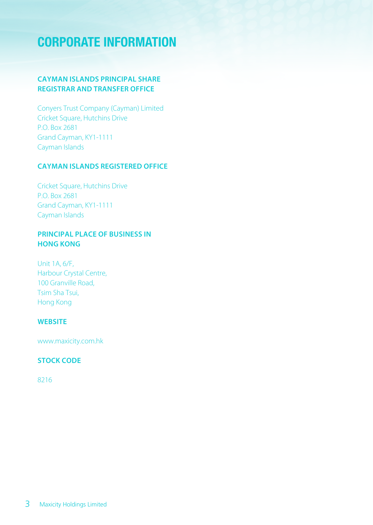# **CORPORATE INFORMATION**

#### **CAYMAN ISLANDS PRINCIPAL SHARE REGISTRAR AND TRANSFER OFFICE**

Conyers Trust Company (Cayman) Limited Cricket Square, Hutchins Drive P.O. Box 2681 Grand Cayman, KY1-1111 Cayman Islands

#### **CAYMAN ISLANDS REGISTERED OFFICE**

Cricket Square, Hutchins Drive P.O. Box 2681 Grand Cayman, KY1-1111 Cayman Islands

#### **PRINCIPAL PLACE OF BUSINESS IN HONG KONG**

Unit 1A, 6/ F. Harbour Crystal Centre, 100 Granville Road. Tsim Sha Tsui. **Hong Kong** 

#### **WEBSITE**

www.maxicity.com.hk

#### **STOCK CODE**

8216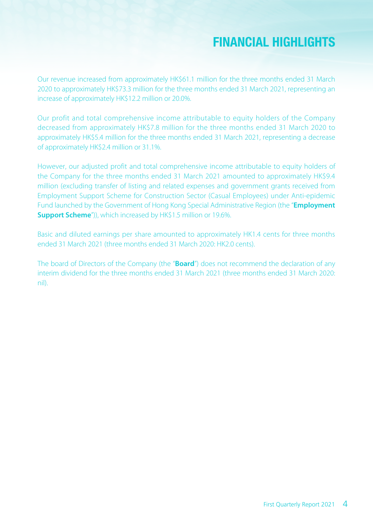### **FINANCIAL HIGHLIGHTS**

Our revenue increased from approximately HK\$61.1 million for the three months ended 31 March 2020 to approximately HK\$73.3 million for the three months ended 31 March 2021, representing an increase of approximately HK\$12.2 million or 20.0%.

Our profit and total comprehensive income attributable to equity holders of the Company decreased from approximately HK\$7.8 million for the three months ended 31 March 2020 to approximately HK\$5.4 million for the three months ended 31 March 2021, representing a decrease of approximately HK\$2.4 million or 31.1%.

However, our adjusted profit and total comprehensive income attributable to equity holders of the Company for the three months ended 31 March 2021 amounted to approximately HK\$9.4 million (excluding transfer of listing and related expenses and government grants received from Employment Support Scheme for Construction Sector (Casual Employees) under Anti-epidemic Fund launched by the Government of Hong Kong Special Administrative Region (the "**Employment Support Scheme**")), which increased by HK\$1.5 million or 19.6%.

Basic and diluted earnings per share amounted to approximately HK1.4 cents for three months ended 31 March 2021 (three months ended 31 March 2020: HK2.0 cents).

The board of Directors of the Company (the "**Board**") does not recommend the declaration of any interim dividend for the three months ended 31 March 2021 (three months ended 31 March 2020: nil).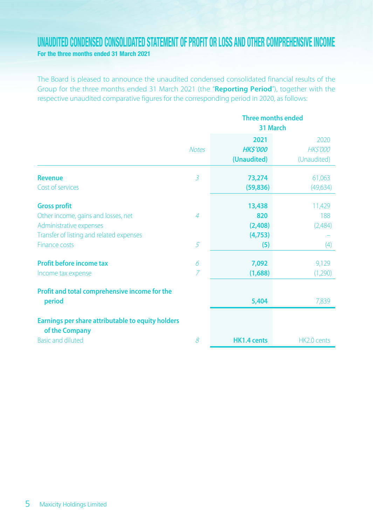### UNAUDITED CONDENSED CONSOLIDATED STATEMENT OF PROFIT OR LOSS AND OTHER COMPREHENSIVE INCOME For the three months ended 31 March 2021

The Board is pleased to announce the unaudited condensed consolidated financial results of the Group for the three months ended 31 March 2021 (the "Reporting Period"), together with the respective unaudited comparative figures for the corresponding period in 2020, as follows:

|                                                                                       |                | <b>Three months ended</b><br>31 March  |                                        |  |
|---------------------------------------------------------------------------------------|----------------|----------------------------------------|----------------------------------------|--|
|                                                                                       | <b>Notes</b>   | 2021<br><b>HK\$'000</b><br>(Unaudited) | 2020<br><b>HK\$'000</b><br>(Unaudited) |  |
| <b>Revenue</b><br>Cost of services                                                    | $\mathfrak{Z}$ | 73,274<br>(59, 836)                    | 61,063<br>(49, 634)                    |  |
| <b>Gross profit</b><br>Other income, gains and losses, net<br>Administrative expenses | 4              | 13,438<br>820<br>(2,408)               | 11,429<br>188<br>(2,484)               |  |
| Transfer of listing and related expenses<br><b>Finance costs</b>                      | 5              | (4,753)<br>(5)                         | (4)                                    |  |
| Profit before income tax<br>Income tax expense                                        | 6<br>7         | 7,092<br>(1,688)                       | 9,129<br>(1,290)                       |  |
| Profit and total comprehensive income for the<br>period                               |                | 5,404                                  | 7,839                                  |  |
| Earnings per share attributable to equity holders<br>of the Company                   |                |                                        |                                        |  |
| <b>Basic and diluted</b>                                                              | 8              | HK1.4 cents                            | HK2.0 cents                            |  |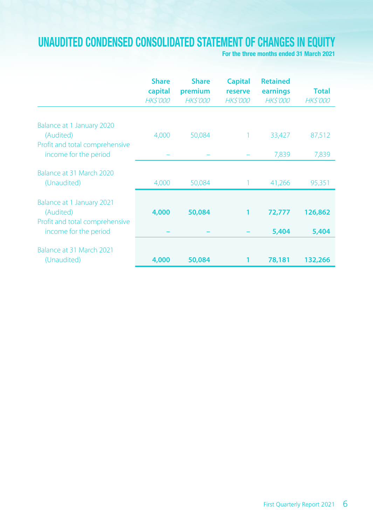### UNAUDITED CONDENSED CONSOLIDATED STATEMENT OF CHANGES IN EQUITY

For the three months ended 31 March 2021

|                                                                          | <b>Share</b><br>capital<br><b>HK\$'000</b> | <b>Share</b><br>premium<br><b>HK\$'000</b> | <b>Capital</b><br>reserve<br><b>HK\$'000</b> | <b>Retained</b><br>earnings<br><b>HK\$'000</b> | <b>Total</b><br><b>HK\$'000</b> |
|--------------------------------------------------------------------------|--------------------------------------------|--------------------------------------------|----------------------------------------------|------------------------------------------------|---------------------------------|
| Balance at 1 January 2020<br>(Audited)<br>Profit and total comprehensive | 4.000                                      | 50,084                                     |                                              | 33,427                                         | 87,512                          |
| income for the period                                                    |                                            |                                            |                                              | 7,839                                          | 7,839                           |
| Balance at 31 March 2020<br>(Unaudited)                                  | 4,000                                      | 50,084                                     | 1.                                           | 41,266                                         | 95,351                          |
| Balance at 1 January 2021<br>(Audited)<br>Profit and total comprehensive | 4,000                                      | 50,084                                     | 1                                            | 72,777                                         | 126,862                         |
| income for the period                                                    |                                            |                                            |                                              | 5,404                                          | 5,404                           |
| Balance at 31 March 2021<br>(Unaudited)                                  | 4,000                                      | 50,084                                     | 1                                            | 78,181                                         | 132,266                         |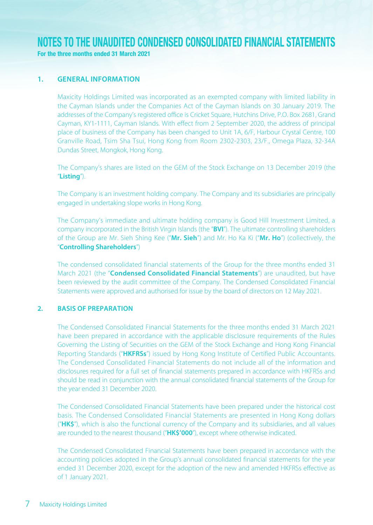For the three months ended 31 March 2021

#### **I. GENERAL INFORMATION**

Maxicity Holdings Limited was incorporated as an exempted company with limited liability in the Cayman Islands under the Companies Act of the Cayman Islands on 30 January 2019. The addresses of the Company's registered office is Cricket Square. Hutchins Drive, P.O. Box 2681. Grand Cayman, KY1-1111, Cayman Islands. With effect from 2 September 2020, the address of principal place of business of the Company has been changed to Unit 1A, 6/F, Harbour Crystal Centre, 100 Granville Road, Tsim Sha Tsui, Hong Kong from Room 2302-2303, 23/F., Omega Plaza, 32-34A Dundas Street, Mongkok, Hong Kong.

The Company's shares are listed on the GEM of the Stock Exchange on 13 December 2019 (the .("**Listing**"

The Company is an investment holding company. The Company and its subsidiaries are principally engaged in undertaking slope works in Hong Kong.

The Company's immediate and ultimate holding company is Good Hill Investment Limited, a company incorporated in the British Virgin Islands (the "**BVI**"). The ultimate controlling shareholders of the Group are Mr. Sieh Shing Kee ("Mr. Sieh") and Mr. Ho Ka Ki ("Mr. Ho") (collectively, the "Controlling Shareholders")

The condensed consolidated financial statements of the Group for the three months ended 31 March 2021 (the "Condensed Consolidated Financial Statements") are unaudited, but have been reviewed by the audit committee of the Company. The Condensed Consolidated Financial Statements were approved and authorised for issue by the board of directors on 12 May 2021.

#### **PREPARATION**

The Condensed Consolidated Financial Statements for the three months ended 31 March 2021 have been prepared in accordance with the applicable disclosure requirements of the Rules Governing the Listing of Securities on the GEM of the Stock Exchange and Hong Kong Financial Reporting Standards ("HKFRSs") issued by Hong Kong Institute of Certified Public Accountants. The Condensed Consolidated Financial Statements do not include all of the information and disclosures required for a full set of financial statements prepared in accordance with HKFRSs and should be read in conjunction with the annual consolidated financial statements of the Group for the year ended 31 December 2020.

The Condensed Consolidated Financial Statements have been prepared under the historical cost basis. The Condensed Consolidated Financial Statements are presented in Hong Kong dollars ("HK\$"), which is also the functional currency of the Company and its subsidiaries, and all values are rounded to the nearest thousand ("HKS'000"), except where otherwise indicated.

The Condensed Consolidated Financial Statements have been prepared in accordance with the accounting policies adopted in the Group's annual consolidated financial statements for the year ended 31 December 2020, except for the adoption of the new and amended HKFRSs effective as of 1 January 2021.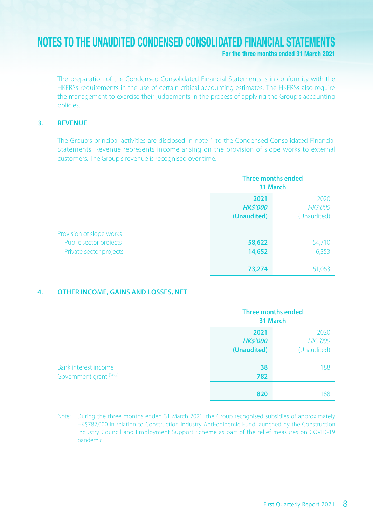For the three months ended 31 March 2021

The preparation of the Condensed Consolidated Financial Statements is in conformity with the HKFRSs requirements in the use of certain critical accounting estimates. The HKFRSs also require the management to exercise their judgements in the process of applying the Group's accounting .policies

#### **REVENUE 3.**

The Group's principal activities are disclosed in note 1 to the Condensed Consolidated Financial Statements. Revenue represents income arising on the provision of slope works to external customers. The Group's revenue is recognised over time.

|                                                                               |                                        | Three months ended<br>31 March         |  |
|-------------------------------------------------------------------------------|----------------------------------------|----------------------------------------|--|
|                                                                               | 2021<br><b>HK\$'000</b><br>(Unaudited) | 2020<br><b>HK\$'000</b><br>(Unaudited) |  |
| Provision of slope works<br>Public sector projects<br>Private sector projects | 58,622<br>14,652                       | 54,710<br>6,353                        |  |
|                                                                               | 73,274                                 | 61,063                                 |  |

#### **4. OTHER INCOME, GAINS AND LOSSES, NET**

|                                                 |                                        | Three months ended<br>31 March         |  |
|-------------------------------------------------|----------------------------------------|----------------------------------------|--|
|                                                 | 2021<br><b>HK\$'000</b><br>(Unaudited) | 2020<br><b>HK\$'000</b><br>(Unaudited) |  |
| Bank interest income<br>Government grant (Note) | 38<br>782                              | 188                                    |  |
|                                                 | 820                                    | 188                                    |  |

Note: During the three months ended 31 March 2021, the Group recognised subsidies of approximately HK\$782,000 in relation to Construction Industry Anti-epidemic Fund launched by the Construction Industry Council and Employment Support Scheme as part of the relief measures on COVID-19 pandemic.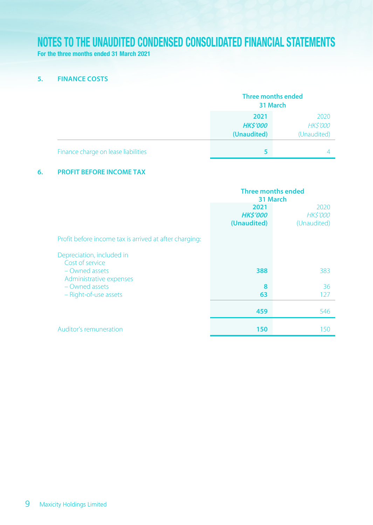For the three months ended 31 March 2021

#### **COSTS FINANCE 5.**

|                                     | Three months ended<br>31 March         |                                        |
|-------------------------------------|----------------------------------------|----------------------------------------|
|                                     | 2021<br><b>HK\$'000</b><br>(Unaudited) | 2020<br><b>HK\$'000</b><br>(Unaudited) |
| Finance charge on lease liabilities |                                        |                                        |

#### **6. PROFIT BEFORE INCOME TAX**

|                                                                    | <b>Three months ended</b><br>31 March |                                        |
|--------------------------------------------------------------------|---------------------------------------|----------------------------------------|
|                                                                    | 2021<br><b>HKS'000</b><br>(Unaudited) | 2020<br><b>HK\$'000</b><br>(Unaudited) |
| Profit before income tax is arrived at after charging:             |                                       |                                        |
| Depreciation, included in<br>Cost of service                       |                                       |                                        |
| - Owned assets                                                     | 388                                   | 383                                    |
| Administrative expenses<br>- Owned assets<br>- Right-of-use assets | 8<br>63                               | 36<br>127                              |
|                                                                    | 459                                   | 546                                    |
| Auditor's remuneration                                             | 150                                   | 150                                    |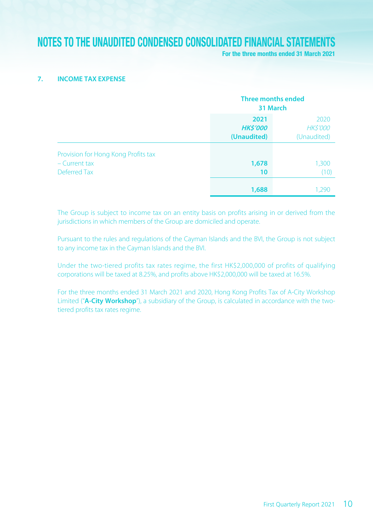For the three months ended 31 March 2021

#### **EXPENSE EXPENSE**

|                                                                        |                                        | Three months ended<br>31 March         |  |
|------------------------------------------------------------------------|----------------------------------------|----------------------------------------|--|
|                                                                        | 2021<br><b>HK\$'000</b><br>(Unaudited) | 2020<br><b>HK\$'000</b><br>(Unaudited) |  |
| Provision for Hong Kong Profits tax<br>$-$ Current tax<br>Deferred Tax | 1,678<br>10                            | 1,300<br>(10)                          |  |
|                                                                        | 1,688                                  | - 290                                  |  |

The Group is subject to income tax on an entity basis on profits arising in or derived from the jurisdictions in which members of the Group are domiciled and operate.

Pursuant to the rules and regulations of the Cayman Islands and the BVI, the Group is not subject to any income tax in the Cayman Islands and the BVI.

Under the two-tiered profits tax rates regime, the first HK\$2,000,000 of profits of qualifying corporations will be taxed at 8.25%, and profits above HK\$2,000,000 will be taxed at 16.5%.

For the three months ended 31 March 2021 and 2020, Hong Kong Profits Tax of A-City Workshop Limited (**"A-City Workshop"**), a subsidiary of the Group, is calculated in accordance with the two-<br>tiered profits tax rates regime.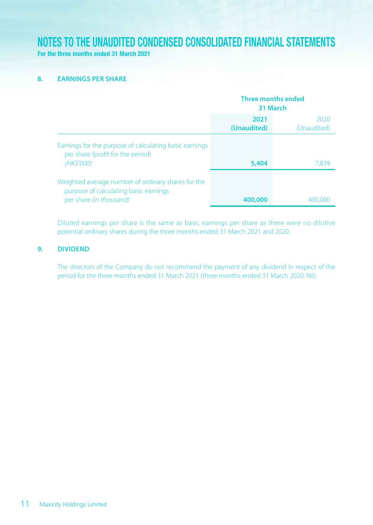For the three months ended 31 March 2021

#### **S. EARNINGS PER SHARE**

|                                                                                                                        | Three months ended<br>31 March |                     |
|------------------------------------------------------------------------------------------------------------------------|--------------------------------|---------------------|
|                                                                                                                        | 2021<br>(Unaudited)            | 2020<br>(Unaudited) |
| Earnings for the purpose of calculating basic earnings<br>per share (profit for the period)                            |                                |                     |
| (HK\$'000)                                                                                                             | 5,404                          | 7.839               |
| Weighted average number of ordinary shares for the<br>purpose of calculating basic earnings<br>per share (in thousand) | 400,000                        | 400.0               |
|                                                                                                                        |                                |                     |

Diluted earnings per share is the same as basic earnings per share as there were no dilutive potential ordinary shares during the three months ended 31 March 2021 and 2020.

#### **Q** DIVIDEND

The directors of the Company do not recommend the payment of any dividend in respect of the period for the three months ended 31 March 2021 (three months ended 31 March 2020: Nil).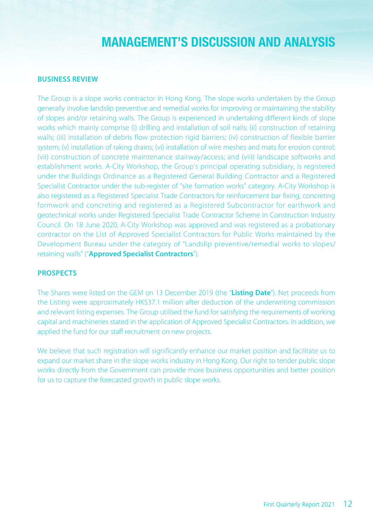#### **RUSINESS REVIEW**

The Group is a slope works contractor in Hong Kong. The slope works undertaken by the Group generally involve landslip preventive and remedial works for improving or maintaining the stability of slopes and/or retaining walls. The Group is experienced in undertaking different kinds of slope works which mainly comprise (i) drilling and installation of soil nails; (ii) construction of retaining walls; (iii) installation of debris flow protection rigid barriers; (iv) construction of flexible barrier system; (v) installation of raking drains; (vi) installation of wire meshes and mats for erosion control; (vii) construction of concrete maintenance stairway/access; and (viii) landscape softworks and establishment works. A-City Workshop, the Group's principal operating subsidiary, is registered under the Buildings Ordinance as a Registered General Building Contractor and a Registered Specialist Contractor under the sub-register of "site formation works" category. A-City Workshop is also registered as a Registered Specialist Trade Contractors for reinforcement bar fixing, concreting formwork and concreting and registered as a Registered Subcontractor for earthwork and geotechnical works under Registered Specialist Trade Contractor Scheme in Construction Industry Council. On 18 June 2020, A-City Workshop was approved and was registered as a probationary contractor on the List of Approved Specialist Contractors for Public Works maintained by the Development Bureau under the category of "Landslip preventive/remedial works to slopes/ retaining walls" ("Approved Specialist Contractors").

#### **PROSPECTS**

The Shares were listed on the GEM on 13 December 2019 (the "Listing Date"). Net proceeds from the Listing were approximately HK\$37.1 million after deduction of the underwriting commission and relevant listing expenses. The Group utilised the fund for satisfying the requirements of working capital and machineries stated in the application of Approved Specialist Contractors. In addition, we applied the fund for our staff recruitment on new projects.

We believe that such registration will significantly enhance our market position and facilitate us to expand our market share in the slope works industry in Hong Kong. Our right to tender public slope works directly from the Government can provide more business opportunities and better position for us to capture the forecasted growth in public slope works.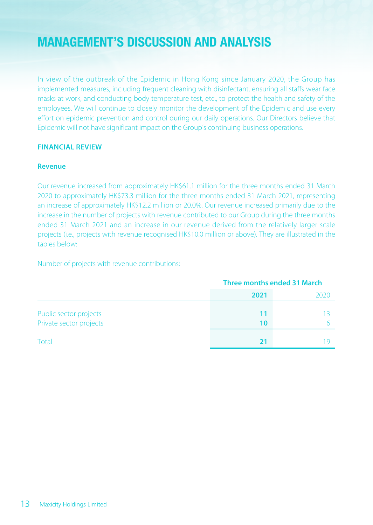In view of the outbreak of the Epidemic in Hong Kong since January 2020, the Group has implemented measures, including frequent cleaning with disinfectant, ensuring all staffs wear face masks at work, and conducting body temperature test, etc., to protect the health and safety of the employees. We will continue to closely monitor the development of the Epidemic and use every effort on epidemic prevention and control during our daily operations. Our Directors believe that Epidemic will not have significant impact on the Group's continuing business operations.

#### **FINANCIAL REVIEW**

#### **Revenue**

Our revenue increased from approximately HK\$61.1 million for the three months ended 31 March 2020 to approximately HK\$73.3 million for the three months ended 31 March 2021, representing an increase of approximately HK\$12.2 million or 20.0%. Our revenue increased primarily due to the increase in the number of projects with revenue contributed to our Group during the three months ended 31 March 2021 and an increase in our revenue derived from the relatively larger scale projects (i.e., projects with revenue recognised HK\$10.0 million or above). They are illustrated in the tables below:

Number of projects with revenue contributions:

|                                                   | Three months ended 31 March |      |
|---------------------------------------------------|-----------------------------|------|
|                                                   | 2021                        | 2020 |
| Public sector projects<br>Private sector projects | 11<br>10                    | 13   |
| Total                                             | 21                          |      |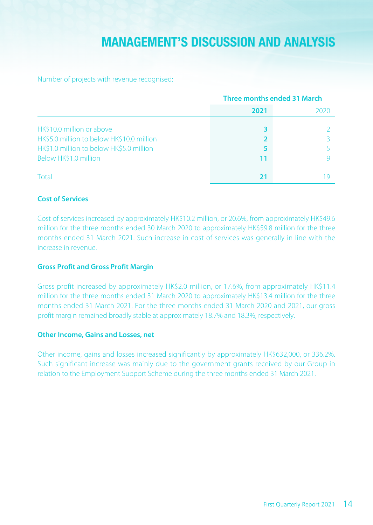Number of projects with revenue recognised:

|                                           | <b>Three months ended 31 March</b> |      |
|-------------------------------------------|------------------------------------|------|
|                                           | 2021                               | 2020 |
| HK\$10.0 million or above                 |                                    |      |
| HK\$5.0 million to below HK\$10.0 million |                                    |      |
| HK\$1.0 million to below HK\$5.0 million  |                                    |      |
| Below HK\$1.0 million                     | 11                                 |      |
| Total                                     | 21                                 |      |

#### **Cost of Services**

Cost of services increased by approximately HK\$10.2 million, or 20.6%, from approximately HK\$49.6 million for the three months ended 30 March 2020 to approximately HK\$59.8 million for the three months ended 31 March 2021. Such increase in cost of services was generally in line with the increase in revenue

#### **Gross Profit and Gross Profit Margin**

Gross profit increased by approximately HK\$2.0 million, or 17.6%, from approximately HK\$11.4 million for the three months ended 31 March 2020 to approximately HK\$13.4 million for the three months ended 31 March 2021. For the three months ended 31 March 2020 and 2021, our gross profit margin remained broadly stable at approximately 18.7% and 18.3%, respectively.

#### **Other Income, Gains and Losses, net**

Other income, gains and losses increased significantly by approximately HK\$632,000, or 336.2%. Such significant increase was mainly due to the government grants received by our Group in relation to the Employment Support Scheme during the three months ended 31 March 2021.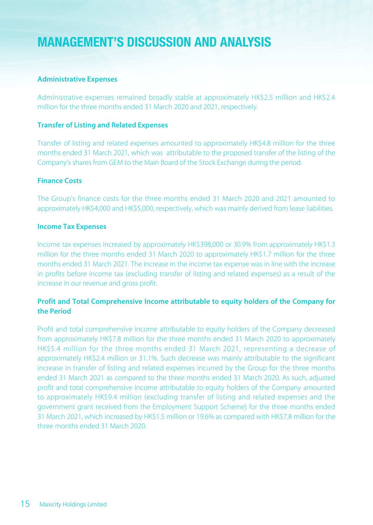#### **Expenses Administrative**

Administrative expenses remained broadly stable at approximately HK\$2.5 million and HK\$2.4 million for the three months ended 31 March 2020 and 2021, respectively.

#### **Transfer of Listing and Related Expenses**

Transfer of listing and related expenses amounted to approximately HK\$4.8 million for the three months ended 31 March 2021, which was attributable to the proposed transfer of the listing of the Company's shares from GEM to the Main Board of the Stock Exchange during the period.

#### **Finance Costs**

The Group's finance costs for the three months ended 31 March 2020 and 2021 amounted to approximately HK\$4,000 and HK\$5,000, respectively, which was mainly derived from lease liabilities.

#### **Income Tax Expenses**

Income tax expenses increased by approximately HK\$398,000 or 30.9% from approximately HK\$1.3 million for the three months ended 31 March 2020 to approximately HK\$1.7 million for the three months ended 31 March 2021. The increase in the income tax expense was in line with the increase in profits before income tax (excluding transfer of listing and related expenses) as a result of the increase in our revenue and gross profit.

#### **Profit and Total Comprehensive Income attributable to equity holders of the Company for the Period**

Profit and total comprehensive income attributable to equity holders of the Company decreased from approximately HK\$7.8 million for the three months ended 31 March 2020 to approximately HK\$5.4 million for the three months ended 31 March 2021, representing a decrease of approximately HK\$2.4 million or 31.1%. Such decrease was mainly attributable to the significant increase in transfer of listing and related expenses incurred by the Group for the three months ended 31 March 2021 as compared to the three months ended 31 March 2020. As such, adjusted profit and total comprehensive income attributable to equity holders of the Company amounted to approximately HK\$9.4 million (excluding transfer of listing and related expenses and the government grant received from the Employment Support Scheme) for the three months ended 31 March 2021, which increased by HK\$1.5 million or 19.6% as compared with HK\$7.8 million for the three months ended 31 March 2020.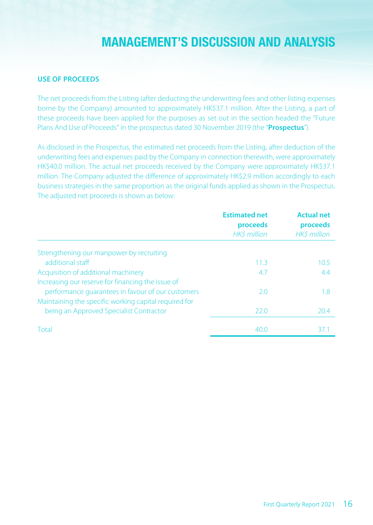#### **USE OF PROCEEDS**

The net proceeds from the Listing (after deducting the underwriting fees and other listing expenses borne by the Company) amounted to approximately HK\$37.1 million. After the Listing, a part of these proceeds have been applied for the purposes as set out in the section headed the "Future Plans And Use of Proceeds" in the prospectus dated 30 November 2019 (the "**Prospectus**").

As disclosed in the Prospectus, the estimated net proceeds from the Listing, after deduction of the underwriting fees and expenses paid by the Company in connection therewith, were approximately HK\$40.0 million. The actual net proceeds received by the Company were approximately HK\$37.1 million. The Company adjusted the difference of approximately HK\$2.9 million accordingly to each business strategies in the same proportion as the original funds applied as shown in the Prospectus. The adjusted net proceeds is shown as below:

|                                                       | <b>Estimated net</b><br>proceeds<br>HK\$ million | <b>Actual net</b><br>proceeds<br><b>HKS</b> million |
|-------------------------------------------------------|--------------------------------------------------|-----------------------------------------------------|
| Strengthening our manpower by recruiting              |                                                  |                                                     |
| additional staff                                      | 113                                              | 10.5                                                |
| Acquisition of additional machinery                   | 4.7                                              | 4.4                                                 |
| Increasing our reserve for financing the issue of     |                                                  |                                                     |
| performance quarantees in favour of our customers     | 2.0                                              | 18                                                  |
| Maintaining the specific working capital required for |                                                  |                                                     |
| being an Approved Specialist Contractor               | 22.0                                             | 20.4                                                |
| Total                                                 | 40.0                                             | 371                                                 |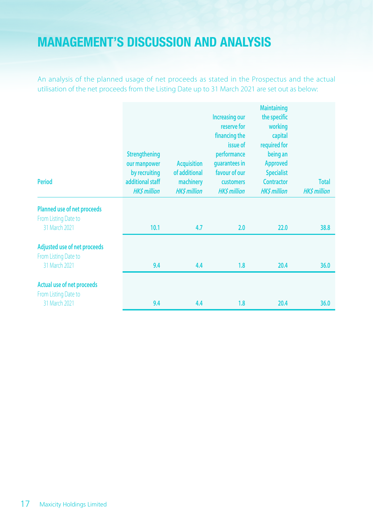An analysis of the planned usage of net proceeds as stated in the Prospectus and the actual utilisation of the net proceeds from the Listing Date up to 31 March 2021 are set out as below:

| <b>Period</b>                                                              | <b>Strengthening</b><br>our manpower<br>by recruiting<br>additional staff<br><b>HK\$ million</b> | <b>Acquisition</b><br>of additional<br>machinery<br><b>HK\$ million</b> | <b>Increasing our</b><br>reserve for<br>financing the<br>issue of<br>performance<br>quarantees in<br>favour of our<br>customers<br><b>HK\$ million</b> | <b>Maintaining</b><br>the specific<br>working<br>capital<br>required for<br>being an<br><b>Approved</b><br><b>Specialist</b><br>Contractor<br><b>HK\$ million</b> | <b>Total</b><br><b>HK\$ million</b> |
|----------------------------------------------------------------------------|--------------------------------------------------------------------------------------------------|-------------------------------------------------------------------------|--------------------------------------------------------------------------------------------------------------------------------------------------------|-------------------------------------------------------------------------------------------------------------------------------------------------------------------|-------------------------------------|
| Planned use of net proceeds<br>From Listing Date to<br>31 March 2021       | 10.1                                                                                             | 4.7                                                                     | 2.0                                                                                                                                                    | 22.0                                                                                                                                                              | 38.8                                |
| Adjusted use of net proceeds<br>From Listing Date to<br>31 March 2021      | 9.4                                                                                              | 4.4                                                                     | 1.8                                                                                                                                                    | 20.4                                                                                                                                                              | 36.0                                |
| <b>Actual use of net proceeds</b><br>From Listing Date to<br>31 March 2021 | 9.4                                                                                              | 4.4                                                                     | 1.8                                                                                                                                                    | 20.4                                                                                                                                                              | 36.0                                |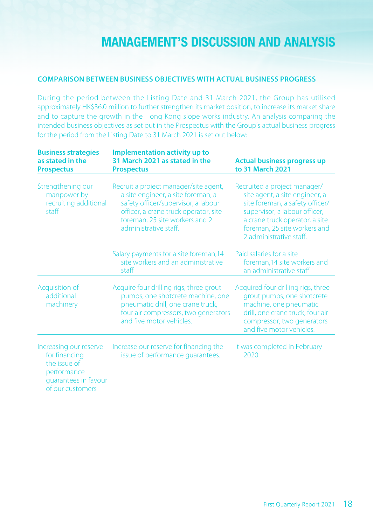#### **COMPARISON BETWEEN BUSINESS OBJECTIVES WITH ACTUAL BUSINESS PROGRESS**

During the period between the Listing Date and 31 March 2021, the Group has utilised approximately HK\$36.0 million to further strengthen its market position, to increase its market share and to capture the growth in the Hong Kong slope works industry. An analysis comparing the intended business objectives as set out in the Prospectus with the Group's actual business progress for the period from the Listing Date to 31 March 2021 is set out below:

| <b>Business strategies</b><br>as stated in the<br><b>Prospectus</b>                                                | Implementation activity up to<br>31 March 2021 as stated in the<br><b>Prospectus</b>                                                                                                                                   | <b>Actual business progress up</b><br>to 31 March 2021                                                                                                                                                                          |
|--------------------------------------------------------------------------------------------------------------------|------------------------------------------------------------------------------------------------------------------------------------------------------------------------------------------------------------------------|---------------------------------------------------------------------------------------------------------------------------------------------------------------------------------------------------------------------------------|
| Strengthening our<br>manpower by<br>recruiting additional<br>staff                                                 | Recruit a project manager/site agent,<br>a site engineer, a site foreman, a<br>safety officer/supervisor, a labour<br>officer, a crane truck operator, site<br>foreman, 25 site workers and 2<br>administrative staff. | Recruited a project manager/<br>site agent, a site engineer, a<br>site foreman, a safety officer/<br>supervisor, a labour officer,<br>a crane truck operator, a site<br>foreman, 25 site workers and<br>2 administrative staff. |
|                                                                                                                    | Salary payments for a site foreman, 14<br>site workers and an administrative<br>staff                                                                                                                                  | Paid salaries for a site<br>foreman, 14 site workers and<br>an administrative staff                                                                                                                                             |
| Acquisition of<br>additional<br>machinery                                                                          | Acquire four drilling rigs, three grout<br>pumps, one shotcrete machine, one<br>pneumatic drill, one crane truck,<br>four air compressors, two generators<br>and five motor vehicles.                                  | Acquired four drilling rigs, three<br>grout pumps, one shotcrete<br>machine, one pneumatic<br>drill, one crane truck, four air<br>compressor, two generators<br>and five motor vehicles.                                        |
| Increasing our reserve<br>for financing<br>the issue of<br>performance<br>quarantees in favour<br>of our customers | Increase our reserve for financing the<br>issue of performance guarantees.                                                                                                                                             | It was completed in February<br>2020.                                                                                                                                                                                           |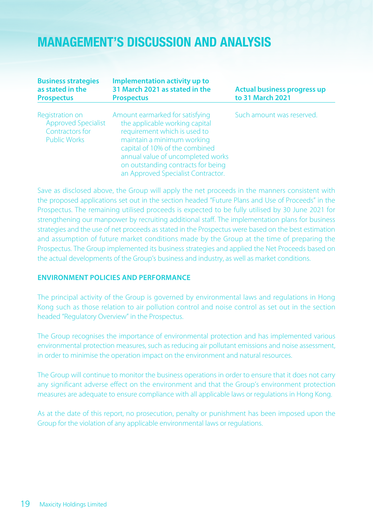| <b>Business strategies</b><br>as stated in the<br><b>Prospectus</b>                     | Implementation activity up to<br>31 March 2021 as stated in the<br><b>Prospectus</b>                                                                                                                                                                                               | <b>Actual business progress up</b><br>to 31 March 2021 |
|-----------------------------------------------------------------------------------------|------------------------------------------------------------------------------------------------------------------------------------------------------------------------------------------------------------------------------------------------------------------------------------|--------------------------------------------------------|
| Registration on<br><b>Approved Specialist</b><br>Contractors for<br><b>Public Works</b> | Amount earmarked for satisfying<br>the applicable working capital<br>requirement which is used to<br>maintain a minimum working<br>capital of 10% of the combined<br>annual value of uncompleted works<br>on outstanding contracts for being<br>an Approved Specialist Contractor. | Such amount was reserved.                              |

Save as disclosed above, the Group will apply the net proceeds in the manners consistent with the proposed applications set out in the section headed "Future Plans and Use of Proceeds" in the Prospectus. The remaining utilised proceeds is expected to be fully utilised by 30 June 2021 for strengthening our manpower by recruiting additional staff. The implementation plans for business strategies and the use of net proceeds as stated in the Prospectus were based on the best estimation and assumption of future market conditions made by the Group at the time of preparing the Prospectus. The Group implemented its business strategies and applied the Net Proceeds based on the actual developments of the Group's business and industry, as well as market conditions.

#### **FNVIRONMENT POLICIES AND PERFORMANCE**

The principal activity of the Group is governed by environmental laws and regulations in Hong Kong such as those relation to air pollution control and noise control as set out in the section headed "Regulatory Overview" in the Prospectus.

The Group recognises the importance of environmental protection and has implemented various environmental protection measures, such as reducing air pollutant emissions and noise assessment, in order to minimise the operation impact on the environment and natural resources.

The Group will continue to monitor the business operations in order to ensure that it does not carry any significant adverse effect on the environment and that the Group's environment protection measures are adequate to ensure compliance with all applicable laws or regulations in Hong Kong.

As at the date of this report, no prosecution, penalty or punishment has been imposed upon the Group for the violation of any applicable environmental laws or regulations.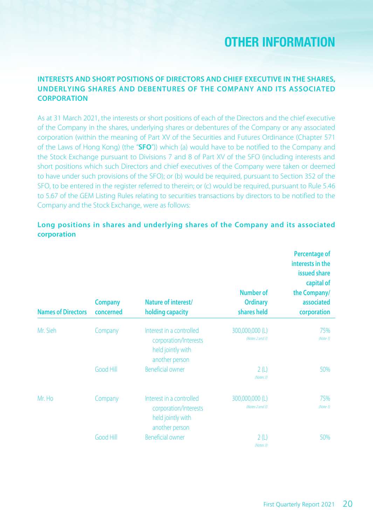#### **INTERESTS AND SHORT POSITIONS OF DIRECTORS AND CHIEF EXECUTIVE IN THE SHARES. UNDERLYING SHARES AND DEBENTURES OF THE COMPANY AND ITS ASSOCIATED CORPORATION**

As at 31 March 2021, the interests or short positions of each of the Directors and the chief executive of the Company in the shares, underlying shares or debentures of the Company or any associated corporation (within the meaning of Part XV of the Securities and Futures Ordinance (Chapter 571 of the Laws of Hong Kong) (the "**SFO**")) which (a) would have to be notified to the Company and the Stock Exchange pursuant to Divisions 7 and 8 of Part XV of the SFO (including interests and short positions which such Directors and chief executives of the Company were taken or deemed to have under such provisions of the SFO); or (b) would be required, pursuant to Section 352 of the SFO, to be entered in the register referred to therein; or (c) would be reguired, pursuant to Rule 5.46 to 5.67 of the GEM Listing Rules relating to securities transactions by directors to be notified to the Company and the Stock Exchange, were as follows:

| <b>Names of Directors</b> | <b>Company</b><br>concerned | Nature of interest/<br>holding capacity                                                  | <b>Number of</b><br><b>Ordinary</b><br>shares held | Percentage of<br>interests in the<br>issued share<br>capital of<br>the Company/<br>associated<br>corporation |
|---------------------------|-----------------------------|------------------------------------------------------------------------------------------|----------------------------------------------------|--------------------------------------------------------------------------------------------------------------|
| Mr. Sieh                  | Company                     | Interest in a controlled<br>corporation/Interests<br>held jointly with<br>another person | 300,000,000 (L)<br>(Notes 2 and 3)                 | 75%<br>(Note 1)                                                                                              |
|                           | Good Hill                   | Beneficial owner                                                                         | 2(L)<br>(Notes 3)                                  | 50%                                                                                                          |
| Mr. Ho                    | Company                     | Interest in a controlled<br>corporation/Interests<br>held jointly with<br>another person | 300,000,000 (L)<br>(Notes 2 and 3)                 | 75%<br>(Note 1)                                                                                              |
|                           | Good Hill                   | Beneficial owner                                                                         | 2(L)<br>(Notes 3)                                  | 50%                                                                                                          |

#### Long positions in shares and underlying shares of the Company and its associated **corporation**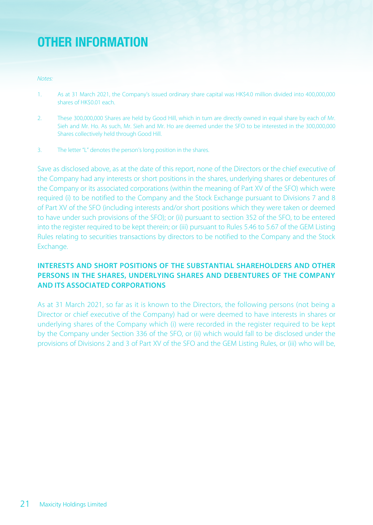#### :Notes

- 1. As at 31 March 2021, the Company's issued ordinary share capital was HK\$4.0 million divided into 400,000,000 shares of HK\$0.01 each.
- 2. These 300,000,000 Shares are held by Good Hill, which in turn are directly owned in equal share by each of Mr. Sieh and Mr. Ho. As such, Mr. Sieh and Mr. Ho are deemed under the SEO to be interested in the 300,000,000 Shares collectively held through Good Hill.
- 3. The letter "L" denotes the person's long position in the shares.

Save as disclosed above, as at the date of this report, none of the Directors or the chief executive of the Company had any interests or short positions in the shares, underlying shares or debentures of the Company or its associated corporations (within the meaning of Part XV of the SFO) which were required (i) to be notified to the Company and the Stock Exchange pursuant to Divisions 7 and 8 of Part XV of the SFO (including interests and/or short positions which they were taken or deemed to have under such provisions of the SFO); or (ii) pursuant to section 352 of the SFO, to be entered into the register required to be kept therein; or (iii) pursuant to Rules 5.46 to 5.67 of the GEM Listing Rules relating to securities transactions by directors to be notified to the Company and the Stock Exchange.

#### **INTERESTS AND SHORT POSITIONS OF THE SUBSTANTIAL SHAREHOLDERS AND OTHER PERSONS IN THE SHARES, UNDERLYING SHARES AND DEBENTURES OF THE COMPANY AND ITS ASSOCIATED CORPORATIONS**

As at 31 March 2021, so far as it is known to the Directors, the following persons (not being a Director or chief executive of the Company) had or were deemed to have interests in shares or underlying shares of the Company which (i) were recorded in the register required to be kept by the Company under Section 336 of the SFO, or (ii) which would fall to be disclosed under the provisions of Divisions 2 and 3 of Part XV of the SFO and the GEM Listing Rules, or (iii) who will be,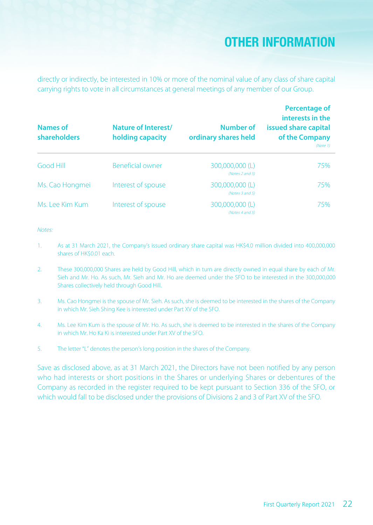directly or indirectly, be interested in 10% or more of the nominal value of any class of share capital carrying rights to vote in all circumstances at general meetings of any member of our Group.

| Names of<br>shareholders | Nature of Interest/<br>holding capacity | Number of<br>ordinary shares held  | <b>Percentage of</b><br>interests in the<br>issued share capital<br>of the Company<br>(Note 1) |
|--------------------------|-----------------------------------------|------------------------------------|------------------------------------------------------------------------------------------------|
| Good Hill                | Beneficial owner                        | 300,000,000 (L)<br>(Notes 2 and 5) | 75%                                                                                            |
| Ms. Cao Hongmei          | Interest of spouse                      | 300,000,000 (L)<br>(Notes 3 and 5) | 75%                                                                                            |
| Ms. Lee Kim Kum          | Interest of spouse                      | 300,000,000 (L)<br>(Notes 4 and 5) | 75%                                                                                            |

#### :Notes

- 1. As at 31 March 2021, the Company's issued ordinary share capital was HK\$4.0 million divided into 400,000,000 shares of HK\$0.01 each.
- 2. These 300,000,000 Shares are held by Good Hill, which in turn are directly owned in equal share by each of Mr. Sieh and Mr. Ho. As such, Mr. Sieh and Mr. Ho are deemed under the SFO to be interested in the 300,000,000 Shares collectively held through Good Hill.
- 3. Ms. Cao Hongmei is the spouse of Mr. Sieh. As such, she is deemed to be interested in the shares of the Company in which Mr. Sieh Shing Kee is interested under Part XV of the SFO.
- 4. Ms. Lee Kim Kum is the spouse of Mr. Ho. As such, she is deemed to be interested in the shares of the Company in which Mr. Ho Ka Ki is interested under Part XV of the SFO.
- 5. The letter "L" denotes the person's long position in the shares of the Company.

Save as disclosed above, as at 31 March 2021, the Directors have not been notified by any person who had interests or short positions in the Shares or underlying Shares or debentures of the Company as recorded in the register required to be kept pursuant to Section 336 of the SFO, or which would fall to be disclosed under the provisions of Divisions 2 and 3 of Part XV of the SFO.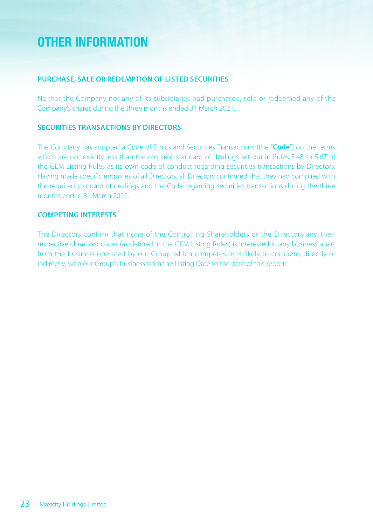#### **PURCHASE, SALE OR REDEMPTION OF LISTED SECURITIES**

Neither the Company nor any of its subsidiaries had purchased, sold or redeemed any of the Company's shares during the three months ended 31 March 2021.

#### **SECURITIES TRANSACTIONS BY DIRECTORS**

The Company has adopted a Code of Ethics and Securities Transactions (the "**Code**") on the terms which are not exactly less than the required standard of dealings set out in Rules 5.48 to 5.67 of the GEM Listing Rules as its own code of conduct regarding securities transactions by Directors. Having made specific enquiries of all Directors. all Directors confirmed that they had complied with the required standard of dealings and the Code regarding securities transactions during the three months ended 31 March 2021.

#### **COMPETING INTERESTS**

The Directors confirm that none of the Controlling Shareholders or the Directors and their respective close associates (as defined in the GEM Listing Rules) is interested in any business apart from the business operated by our Group which competes or is likely to compete, directly or indirectly, with our Group's business from the Listing Date to the date of this report.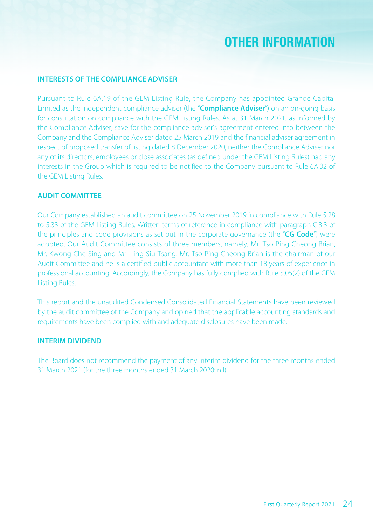#### **INTERESTS OF THE COMPLIANCE ADVISER**

Pursuant to Rule 6A.19 of the GEM Listing Rule, the Company has appointed Grande Capital Limited as the independent compliance adviser (the "**Compliance Adviser**") on an on-going basis for consultation on compliance with the GEM Listing Rules. As at 31 March 2021, as informed by the Compliance Adviser, save for the compliance adviser's agreement entered into between the Company and the Compliance Adviser dated 25 March 2019 and the financial adviser agreement in respect of proposed transfer of listing dated 8 December 2020, neither the Compliance Adviser nor any of its directors, employees or close associates (as defined under the GEM Listing Rules) had any interests in the Group which is required to be notified to the Company pursuant to Rule 6A.32 of the GEM Listing Rules.

#### **AUDIT COMMITTEE**

Our Company established an audit committee on 25 November 2019 in compliance with Rule 5.28 to 5.33 of the GEM Listing Rules. Written terms of reference in compliance with paragraph C.3.3 of the principles and code provisions as set out in the corporate governance (the "CG Code") were adopted. Our Audit Committee consists of three members, namely, Mr. Tso Ping Cheong Brian, Mr. Kwong Che Sing and Mr. Ling Siu Tsang. Mr. Tso Ping Cheong Brian is the chairman of our Audit Committee and he is a certified public accountant with more than 18 years of experience in professional accounting. Accordingly, the Company has fully complied with Rule 5.05(2) of the GEM Listing Rules.

This report and the unaudited Condensed Consolidated Financial Statements have been reviewed by the audit committee of the Company and opined that the applicable accounting standards and requirements have been complied with and adequate disclosures have been made.

#### **INTERIM DIVIDEND**

The Board does not recommend the payment of any interim dividend for the three months ended 31 March 2021 (for the three months ended 31 March 2020; nil).